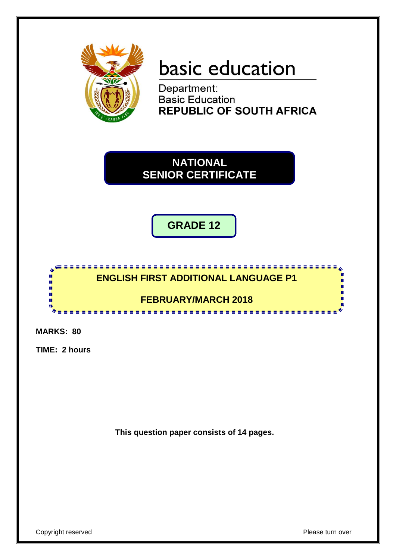

# basic education

Department: **Basic Education REPUBLIC OF SOUTH AFRICA** 

**NATIONAL SENIOR CERTIFICATE**

**GRADE 12**



**MARKS: 80**

**TIME: 2 hours**

**This question paper consists of 14 pages.**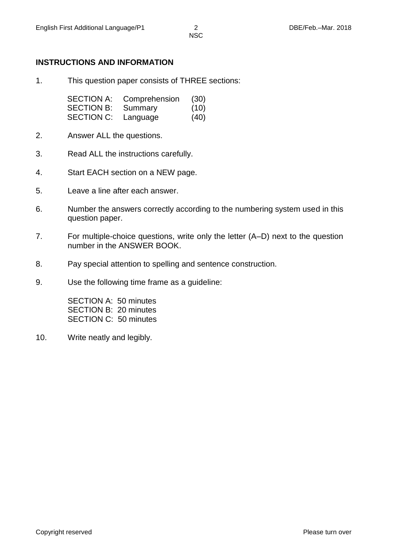# **INSTRUCTIONS AND INFORMATION**

1. This question paper consists of THREE sections:

| <b>SECTION A:</b> | Comprehension | (30) |
|-------------------|---------------|------|
| <b>SECTION B:</b> | Summary       | (10) |
| <b>SECTION C:</b> | Language      | (40) |

- 2. Answer ALL the questions.
- 3. Read ALL the instructions carefully.
- 4. Start EACH section on a NEW page.
- 5. Leave a line after each answer.
- 6. Number the answers correctly according to the numbering system used in this question paper.
- 7. For multiple-choice questions, write only the letter (A–D) next to the question number in the ANSWER BOOK.
- 8. Pay special attention to spelling and sentence construction.
- 9. Use the following time frame as a guideline:

SECTION A: 50 minutes SECTION B: 20 minutes SECTION C: 50 minutes

10. Write neatly and legibly.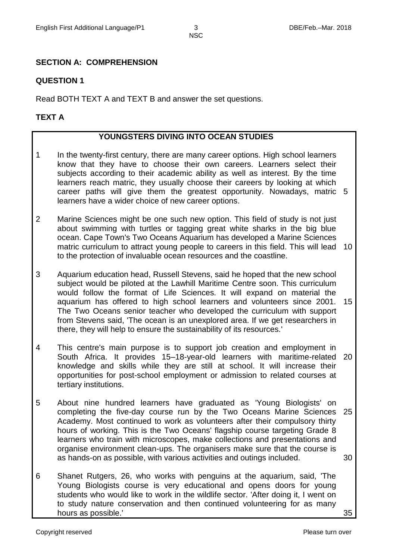# **SECTION A: COMPREHENSION**

#### **QUESTION 1**

Read BOTH TEXT A and TEXT B and answer the set questions.

#### **TEXT A**

#### **YOUNGSTERS DIVING INTO OCEAN STUDIES**

- 1 In the twenty-first century, there are many career options. High school learners know that they have to choose their own careers. Learners select their subjects according to their academic ability as well as interest. By the time learners reach matric, they usually choose their careers by looking at which career paths will give them the greatest opportunity. Nowadays, matric 5 learners have a wider choice of new career options.
- 2 Marine Sciences might be one such new option. This field of study is not just about swimming with turtles or tagging great white sharks in the big blue ocean. Cape Town's Two Oceans Aquarium has developed a Marine Sciences matric curriculum to attract young people to careers in this field. This will lead 10 to the protection of invaluable ocean resources and the coastline.
- 3 Aquarium education head, Russell Stevens, said he hoped that the new school subject would be piloted at the Lawhill Maritime Centre soon. This curriculum would follow the format of Life Sciences. It will expand on material the aquarium has offered to high school learners and volunteers since 2001. The Two Oceans senior teacher who developed the curriculum with support from Stevens said, 'The ocean is an unexplored area. If we get researchers in there, they will help to ensure the sustainability of its resources.' 15
- 4 This centre's main purpose is to support job creation and employment in South Africa. It provides 15–18-year-old learners with maritime-related 20 knowledge and skills while they are still at school. It will increase their opportunities for post-school employment or admission to related courses at tertiary institutions.
- 5 About nine hundred learners have graduated as 'Young Biologists' on completing the five-day course run by the Two Oceans Marine Sciences 25 Academy. Most continued to work as volunteers after their compulsory thirty hours of working. This is the Two Oceans' flagship course targeting Grade 8 learners who train with microscopes, make collections and presentations and organise environment clean-ups. The organisers make sure that the course is as hands-on as possible, with various activities and outings included. 30
- 6 Shanet Rutgers, 26, who works with penguins at the aquarium, said, 'The Young Biologists course is very educational and opens doors for young students who would like to work in the wildlife sector. 'After doing it, I went on to study nature conservation and then continued volunteering for as many hours as possible.'

35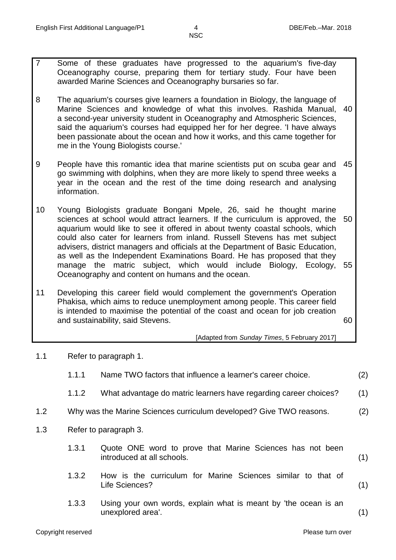- 7 Some of these graduates have progressed to the aquarium's five-day Oceanography course, preparing them for tertiary study. Four have been awarded Marine Sciences and Oceanography bursaries so far.
- 8 The aquarium's courses give learners a foundation in Biology, the language of Marine Sciences and knowledge of what this involves. Rashida Manual, a second-year university student in Oceanography and Atmospheric Sciences, said the aquarium's courses had equipped her for her degree. 'I have always been passionate about the ocean and how it works, and this came together for me in the Young Biologists course.' 40
- 9 People have this romantic idea that marine scientists put on scuba gear and 45 go swimming with dolphins, when they are more likely to spend three weeks a year in the ocean and the rest of the time doing research and analysing information.
- 10 Young Biologists graduate Bongani Mpele, 26, said he thought marine sciences at school would attract learners. If the curriculum is approved, the 50 aquarium would like to see it offered in about twenty coastal schools, which could also cater for learners from inland. Russell Stevens has met subject advisers, district managers and officials at the Department of Basic Education, as well as the Independent Examinations Board. He has proposed that they manage the matric subject, which would include Biology, Ecology, Oceanography and content on humans and the ocean. 55
- 11 Developing this career field would complement the government's Operation Phakisa, which aims to reduce unemployment among people. This career field is intended to maximise the potential of the coast and ocean for job creation and sustainability, said Stevens.

60

[Adapted from *Sunday Times*, 5 February 2017]

1.1 Refer to paragraph 1.

|     | 1.1.1                 | Name TWO factors that influence a learner's career choice.                              | (2) |
|-----|-----------------------|-----------------------------------------------------------------------------------------|-----|
|     | 1.1.2                 | What advantage do matric learners have regarding career choices?                        | (1) |
| 1.2 |                       | Why was the Marine Sciences curriculum developed? Give TWO reasons.                     | (2) |
| 1.3 | Refer to paragraph 3. |                                                                                         |     |
|     | 1.3.1                 | Quote ONE word to prove that Marine Sciences has not been<br>introduced at all schools. | (1) |
|     | 1.3.2                 | How is the curriculum for Marine Sciences similar to that of<br>Life Sciences?          | (1) |
|     | 1.3.3                 | Using your own words, explain what is meant by 'the ocean is an<br>unexplored area'.    | (1) |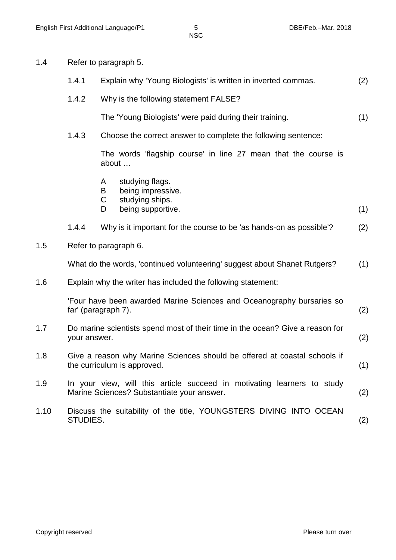1.4 Refer to paragraph 5.

|      | 1.4.1                                                                                                    |                                                                                                                              | Explain why 'Young Biologists' is written in inverted commas.                | (2) |
|------|----------------------------------------------------------------------------------------------------------|------------------------------------------------------------------------------------------------------------------------------|------------------------------------------------------------------------------|-----|
|      |                                                                                                          |                                                                                                                              |                                                                              |     |
|      | 1.4.2                                                                                                    |                                                                                                                              | Why is the following statement FALSE?                                        |     |
|      |                                                                                                          |                                                                                                                              | The 'Young Biologists' were paid during their training.                      | (1) |
|      | 1.4.3                                                                                                    |                                                                                                                              | Choose the correct answer to complete the following sentence:                |     |
|      |                                                                                                          | about                                                                                                                        | The words 'flagship course' in line 27 mean that the course is               |     |
|      |                                                                                                          | A<br>B<br>C<br>D                                                                                                             | studying flags.<br>being impressive.<br>studying ships.<br>being supportive. | (1) |
|      |                                                                                                          |                                                                                                                              |                                                                              |     |
|      | 1.4.4                                                                                                    |                                                                                                                              | Why is it important for the course to be 'as hands-on as possible'?          | (2) |
| 1.5  | Refer to paragraph 6.                                                                                    |                                                                                                                              |                                                                              |     |
|      |                                                                                                          |                                                                                                                              | What do the words, 'continued volunteering' suggest about Shanet Rutgers?    | (1) |
| 1.6  |                                                                                                          |                                                                                                                              | Explain why the writer has included the following statement:                 |     |
|      | far' (paragraph 7).                                                                                      |                                                                                                                              | 'Four have been awarded Marine Sciences and Oceanography bursaries so        | (2) |
| 1.7  |                                                                                                          | Do marine scientists spend most of their time in the ocean? Give a reason for<br>your answer.                                |                                                                              | (2) |
| 1.8  | Give a reason why Marine Sciences should be offered at coastal schools if<br>the curriculum is approved. |                                                                                                                              |                                                                              | (1) |
| 1.9  |                                                                                                          | In your view, will this article succeed in motivating learners to study<br>Marine Sciences? Substantiate your answer.<br>(2) |                                                                              |     |
| 1.10 | STUDIES.                                                                                                 |                                                                                                                              | Discuss the suitability of the title, YOUNGSTERS DIVING INTO OCEAN           | (2) |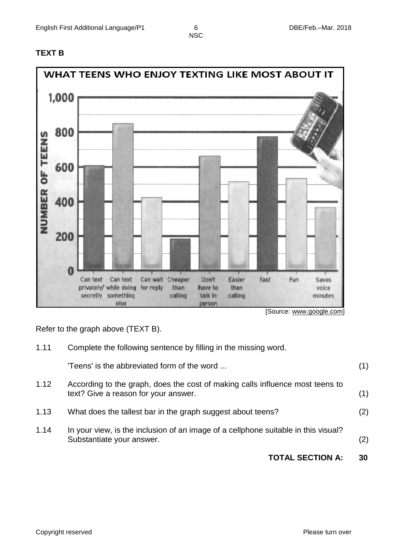# **TEXT B**



 <sup>[</sup>Source: www.google.com]

Refer to the graph above (TEXT B).

|      | <b>TOTAL SECTION A:</b>                                                                                               | 30  |
|------|-----------------------------------------------------------------------------------------------------------------------|-----|
| 1.14 | In your view, is the inclusion of an image of a cellphone suitable in this visual?<br>Substantiate your answer.       | (2) |
| 1.13 | What does the tallest bar in the graph suggest about teens?                                                           | (2) |
| 1.12 | According to the graph, does the cost of making calls influence most teens to<br>text? Give a reason for your answer. | (1) |
|      | 'Teens' is the abbreviated form of the word                                                                           | (1) |
| 1.11 | Complete the following sentence by filling in the missing word.                                                       |     |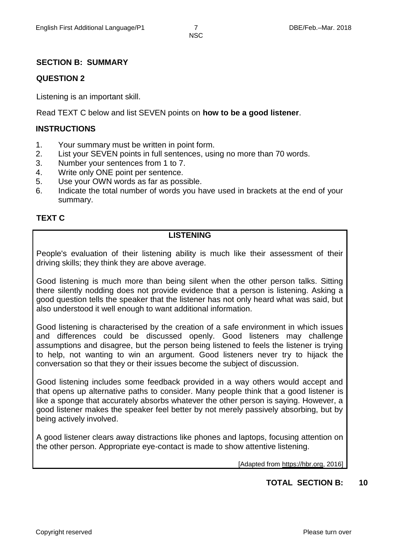#### **SECTION B: SUMMARY**

#### **QUESTION 2**

Listening is an important skill.

Read TEXT C below and list SEVEN points on **how to be a good listener**.

#### **INSTRUCTIONS**

- 1. Your summary must be written in point form.
- 2. List your SEVEN points in full sentences, using no more than 70 words.
- 3. Number your sentences from 1 to 7.
- 4. Write only ONE point per sentence.
- 5. Use your OWN words as far as possible.
- 6. Indicate the total number of words you have used in brackets at the end of your summary.

# **TEXT C**

#### **LISTENING**

People's evaluation of their listening ability is much like their assessment of their driving skills; they think they are above average.

Good listening is much more than being silent when the other person talks. Sitting there silently nodding does not provide evidence that a person is listening. Asking a good question tells the speaker that the listener has not only heard what was said, but also understood it well enough to want additional information.

Good listening is characterised by the creation of a safe environment in which issues and differences could be discussed openly. Good listeners may challenge assumptions and disagree, but the person being listened to feels the listener is trying to help, not wanting to win an argument. Good listeners never try to hijack the conversation so that they or their issues become the subject of discussion.

Good listening includes some feedback provided in a way others would accept and that opens up alternative paths to consider. Many people think that a good listener is like a sponge that accurately absorbs whatever the other person is saying. However, a good listener makes the speaker feel better by not merely passively absorbing, but by being actively involved.

A good listener clears away distractions like phones and laptops, focusing attention on the other person. Appropriate eye-contact is made to show attentive listening.

[Adapted from [https://hbr.org,](https://hbr.org/) 2016]

#### **TOTAL SECTION B: 10**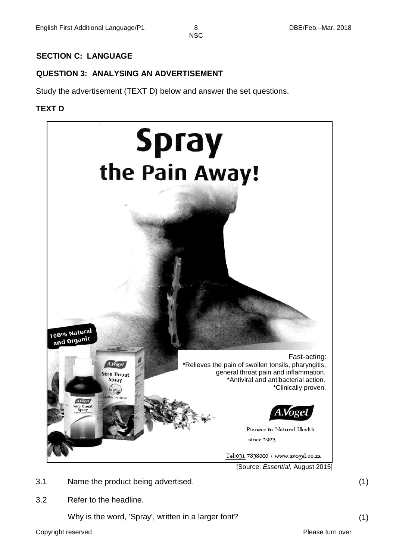#### **SECTION C: LANGUAGE**

# **QUESTION 3: ANALYSING AN ADVERTISEMENT**

Study the advertisement (TEXT D) below and answer the set questions.

#### **TEXT D**



- 3.1 Name the product being advertised. (1)
- 3.2 Refer to the headline.

Why is the word, 'Spray', written in a larger font? (1)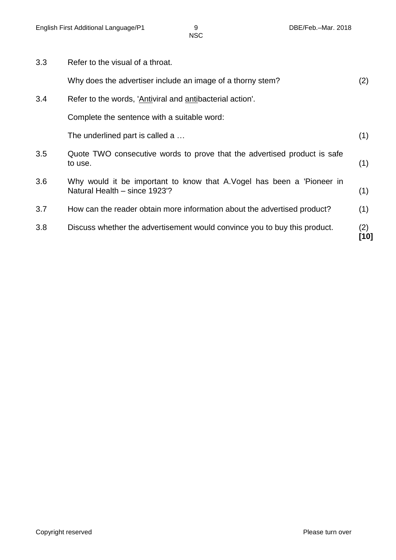| 3.3 | Refer to the visual of a throat.                                                                       |             |
|-----|--------------------------------------------------------------------------------------------------------|-------------|
|     | Why does the advertiser include an image of a thorny stem?                                             | (2)         |
| 3.4 | Refer to the words, 'Antiviral and antibacterial action'.                                              |             |
|     | Complete the sentence with a suitable word:                                                            |             |
|     | The underlined part is called a                                                                        | (1)         |
| 3.5 | Quote TWO consecutive words to prove that the advertised product is safe<br>to use.                    | (1)         |
| 3.6 | Why would it be important to know that A.Vogel has been a 'Pioneer in<br>Natural Health - since 1923'? | (1)         |
| 3.7 | How can the reader obtain more information about the advertised product?                               | (1)         |
| 3.8 | Discuss whether the advertisement would convince you to buy this product.                              | (2)<br>[10] |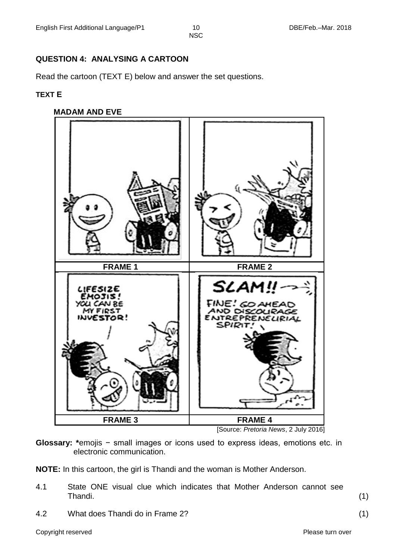# **QUESTION 4: ANALYSING A CARTOON**

Read the cartoon (TEXT E) below and answer the set questions.

#### **TEXT E**

#### **MADAM AND EVE**



[Source: *Pretoria News*, 2 July 2016]

**Glossary: \***emojis − small images or icons used to express ideas, emotions etc. in electronic communication.

**NOTE:** In this cartoon, the girl is Thandi and the woman is Mother Anderson.

- 4.1 State ONE visual clue which indicates that Mother Anderson cannot see Thandi. (1)
- 4.2 What does Thandi do in Frame 2? (1)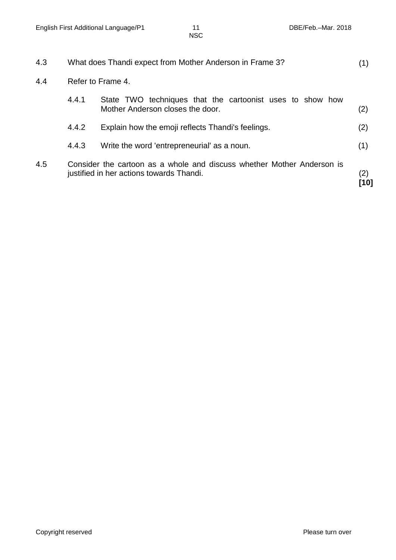| 4.3 | What does Thandi expect from Mother Anderson in Frame 3? |                                                                                                                    |              |
|-----|----------------------------------------------------------|--------------------------------------------------------------------------------------------------------------------|--------------|
| 4.4 | Refer to Frame 4.                                        |                                                                                                                    |              |
|     | 4.4.1                                                    | State TWO techniques that the cartoonist uses to show how<br>Mother Anderson closes the door.                      | (2)          |
|     | 4.4.2                                                    | Explain how the emoji reflects Thandi's feelings.                                                                  | (2)          |
|     | 4.4.3                                                    | Write the word 'entrepreneurial' as a noun.                                                                        | (1)          |
| 4.5 |                                                          | Consider the cartoon as a whole and discuss whether Mother Anderson is<br>justified in her actions towards Thandi. | (2)<br>ี 101 |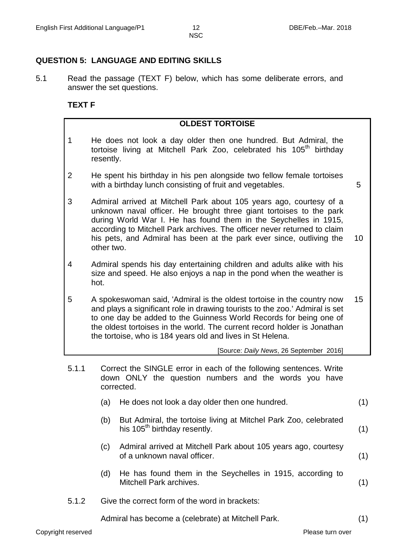5

#### **QUESTION 5: LANGUAGE AND EDITING SKILLS**

5.1 Read the passage (TEXT F) below, which has some deliberate errors, and answer the set questions.

#### **TEXT F**

#### **OLDEST TORTOISE**

- 1 He does not look a day older then one hundred. But Admiral, the tortoise living at Mitchell Park Zoo, celebrated his  $105<sup>th</sup>$  birthday resently.
- 2 He spent his birthday in his pen alongside two fellow female tortoises with a birthday lunch consisting of fruit and vegetables.
- 3 Admiral arrived at Mitchell Park about 105 years ago, courtesy of a unknown naval officer. He brought three giant tortoises to the park during World War I. He has found them in the Seychelles in 1915, according to Mitchell Park archives. The officer never returned to claim his pets, and Admiral has been at the park ever since, outliving the other two. 10
- 4 Admiral spends his day entertaining children and adults alike with his size and speed. He also enjoys a nap in the pond when the weather is hot.
- 5 A spokeswoman said, 'Admiral is the oldest tortoise in the country now and plays a significant role in drawing tourists to the zoo.' Admiral is set to one day be added to the Guinness World Records for being one of the oldest tortoises in the world. The current record holder is Jonathan the tortoise, who is 184 years old and lives in St Helena. 15

[Source: *Daily News*, 26 September 2016]

- 5.1.1 Correct the SINGLE error in each of the following sentences. Write down ONLY the question numbers and the words you have corrected.
	- (a) He does not look a day older then one hundred. (1)
	- (b) But Admiral, the tortoise living at Mitchel Park Zoo, celebrated his  $105<sup>th</sup>$  birthday resently. (1)
	- (c) Admiral arrived at Mitchell Park about 105 years ago, courtesy of a unknown naval officer. (1)
	- (d) He has found them in the Seychelles in 1915, according to Mitchell Park archives. (1)
- 5.1.2 Give the correct form of the word in brackets:

Admiral has become a (celebrate) at Mitchell Park. (1)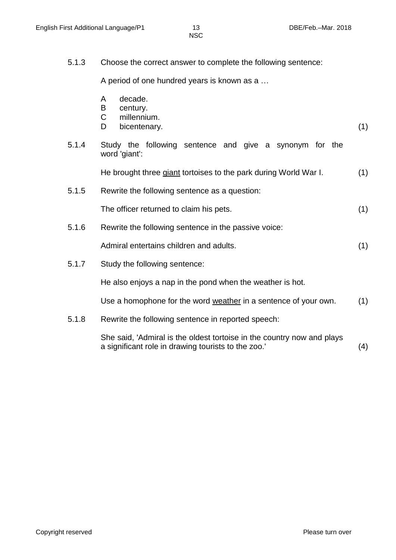5.1.3 Choose the correct answer to complete the following sentence:

A period of one hundred years is known as a …

- A decade.
- B century.
- C millennium.
- D bicentenary. (1)
	-
- 5.1.4 Study the following sentence and give a synonym for the word 'giant':

He brought three giant tortoises to the park during World War I. (1)

5.1.5 Rewrite the following sentence as a question:

The officer returned to claim his pets. (1)

5.1.6 Rewrite the following sentence in the passive voice:

Admiral entertains children and adults. (1)

5.1.7 Study the following sentence:

He also enjoys a nap in the pond when the weather is hot.

Use a homophone for the word weather in a sentence of your own. (1)

5.1.8 Rewrite the following sentence in reported speech:

She said, 'Admiral is the oldest tortoise in the country now and plays a significant role in drawing tourists to the zoo.' (4)